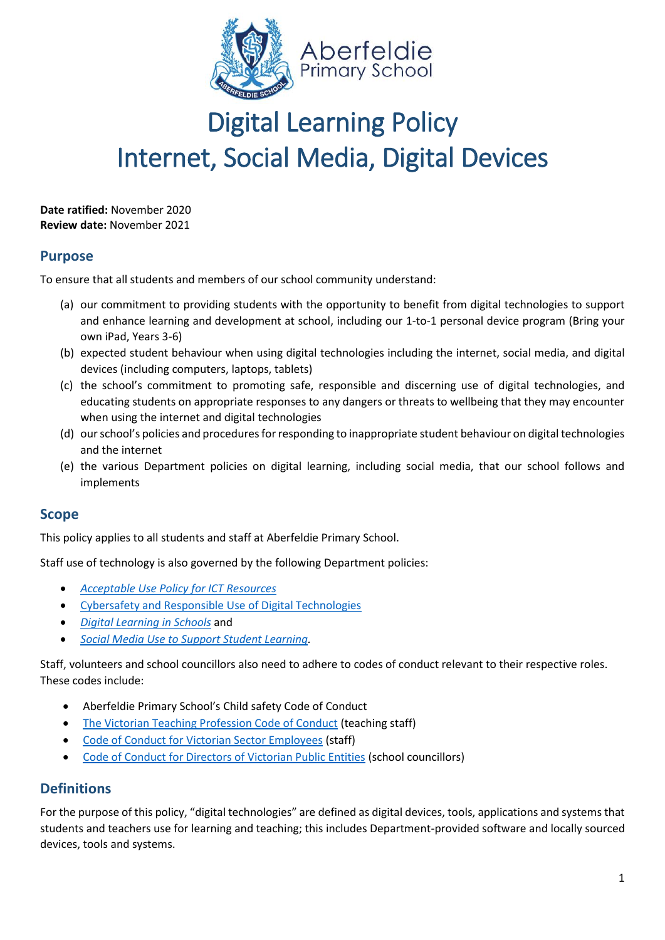

# Digital Learning Policy Internet, Social Media, Digital Devices

**Date ratified:** November 2020 **Review date:** November 2021

## **Purpose**

To ensure that all students and members of our school community understand:

- (a) our commitment to providing students with the opportunity to benefit from digital technologies to support and enhance learning and development at school, including our 1-to-1 personal device program (Bring your own iPad, Years 3-6)
- (b) expected student behaviour when using digital technologies including the internet, social media, and digital devices (including computers, laptops, tablets)
- (c) the school's commitment to promoting safe, responsible and discerning use of digital technologies, and educating students on appropriate responses to any dangers or threats to wellbeing that they may encounter when using the internet and digital technologies
- (d) our school's policies and procedures for responding to inappropriate student behaviour on digital technologies and the internet
- (e) the various Department policies on digital learning, including social media, that our school follows and implements

## **Scope**

This policy applies to all students and staff at Aberfeldie Primary School.

Staff use of technology is also governed by the following Department policies:

- *[Acceptable Use Policy](https://www2.education.vic.gov.au/pal/ict-acceptable-use/overview) for ICT Resources*
- [Cybersafety and Responsible Use of Digital Technologies](https://www2.education.vic.gov.au/pal/cybersafety/policy)
- *[Digital Learning in Schools](https://www2.education.vic.gov.au/pal/digital-learning/policy)* and
- *[Social Media Use to Support Student Learning.](https://www2.education.vic.gov.au/pal/social-media/policy)*

Staff, volunteers and school councillors also need to adhere to codes of conduct relevant to their respective roles. These codes include:

- Aberfeldie Primary School's Child safety Code of Conduct
- [The Victorian Teaching Profession Code of Conduct](https://www.vit.vic.edu.au/__data/assets/pdf_file/0018/35604/Code-of-Conduct-2016.pdf) (teaching staff)
- [Code of Conduct for Victorian Sector Employees](https://www2.education.vic.gov.au/pal/code-conduct/overview) (staff)
- [Code of Conduct for Directors of Victorian Public Entities](https://www2.education.vic.gov.au/pal/school-council-conduct/policy) (school councillors)

# **Definitions**

For the purpose of this policy, "digital technologies" are defined as digital devices, tools, applications and systems that students and teachers use for learning and teaching; this includes Department-provided software and locally sourced devices, tools and systems.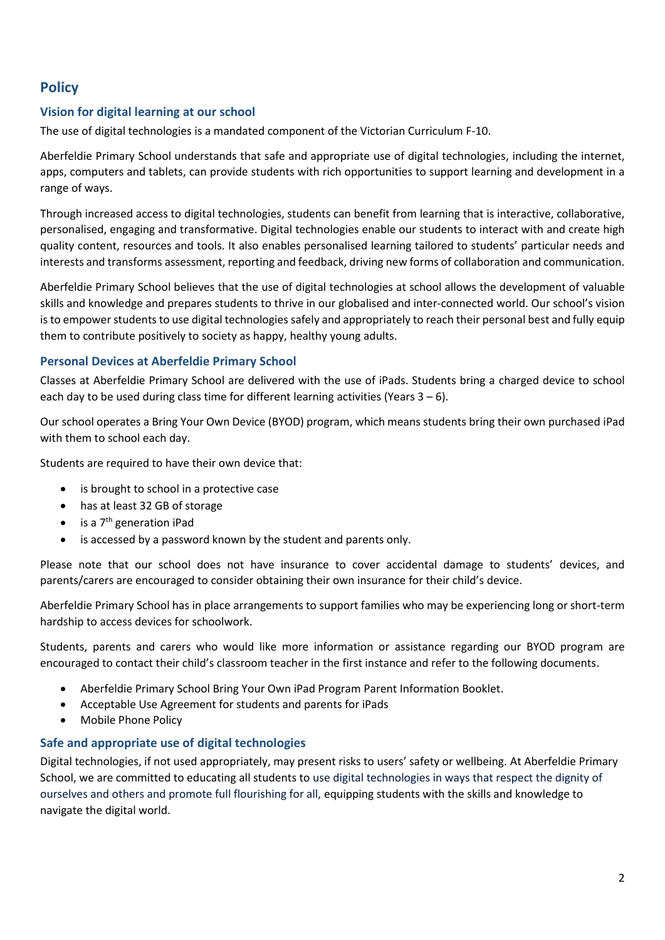# **Policy**

## **Vision for digital learning at our school**

The use of digital technologies is a mandated component of the Victorian Curriculum F-10.

Aberfeldie Primary School understands that safe and appropriate use of digital technologies, including the internet, apps, computers and tablets, can provide students with rich opportunities to support learning and development in a range of ways.

Through increased access to digital technologies, students can benefit from learning that is interactive, collaborative, personalised, engaging and transformative. Digital technologies enable our students to interact with and create high quality content, resources and tools. It also enables personalised learning tailored to students' particular needs and interests and transforms assessment, reporting and feedback, driving new forms of collaboration and communication.

Aberfeldie Primary School believes that the use of digital technologies at school allows the development of valuable skills and knowledge and prepares students to thrive in our globalised and inter-connected world. Our school's vision is to empower students to use digital technologies safely and appropriately to reach their personal best and fully equip them to contribute positively to society as happy, healthy young adults.

## **Personal Devices at Aberfeldie Primary School**

Classes at Aberfeldie Primary School are delivered with the use of iPads. Students bring a charged device to school each day to be used during class time for different learning activities (Years  $3 - 6$ ).

Our school operates a Bring Your Own Device (BYOD) program, which means students bring their own purchased iPad with them to school each day.

Students are required to have their own device that:

- is brought to school in a protective case
- has at least 32 GB of storage
- is a  $7<sup>th</sup>$  generation iPad
- is accessed by a password known by the student and parents only.

Please note that our school does not have insurance to cover accidental damage to students' devices, and parents/carers are encouraged to consider obtaining their own insurance for their child's device.

Aberfeldie Primary School has in place arrangements to support families who may be experiencing long or short-term hardship to access devices for schoolwork.

Students, parents and carers who would like more information or assistance regarding our BYOD program are encouraged to contact their child's classroom teacher in the first instance and refer to the following documents.

- Aberfeldie Primary School Bring Your Own iPad Program Parent Information Booklet.
- Acceptable Use Agreement for students and parents for iPads
- Mobile Phone Policy

## **Safe and appropriate use of digital technologies**

Digital technologies, if not used appropriately, may present risks to users' safety or wellbeing. At Aberfeldie Primary School, we are committed to educating all students to use digital technologies in ways that respect the dignity of ourselves and others and promote full flourishing for all, equipping students with the skills and knowledge to navigate the digital world.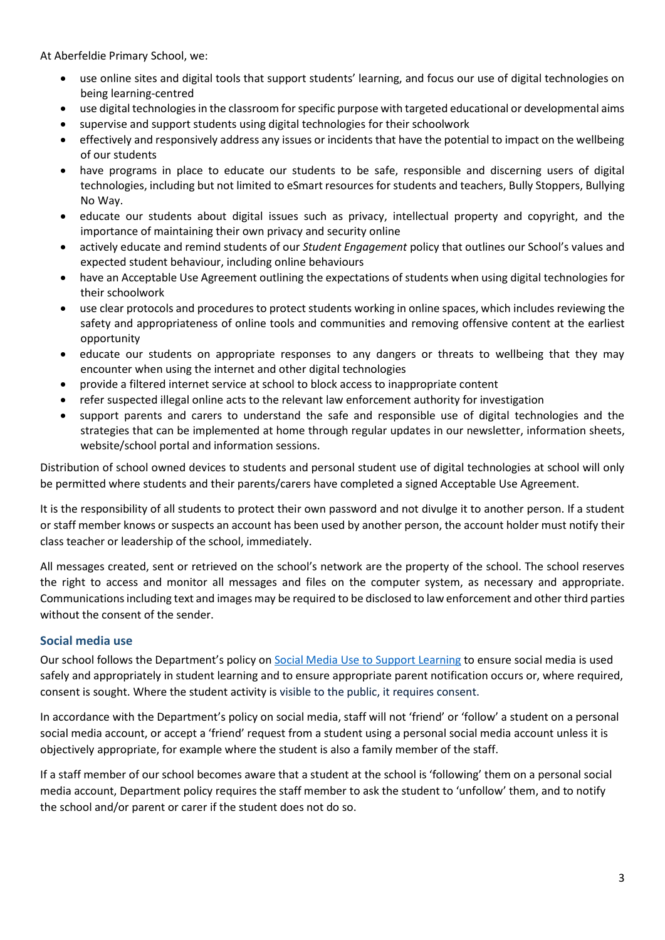At Aberfeldie Primary School, we:

- use online sites and digital tools that support students' learning, and focus our use of digital technologies on being learning-centred
- use digital technologies in the classroom for specific purpose with targeted educational or developmental aims
- supervise and support students using digital technologies for their schoolwork
- effectively and responsively address any issues or incidents that have the potential to impact on the wellbeing of our students
- have programs in place to educate our students to be safe, responsible and discerning users of digital technologies, including but not limited to eSmart resources for students and teachers, Bully Stoppers, Bullying No Way.
- educate our students about digital issues such as privacy, intellectual property and copyright, and the importance of maintaining their own privacy and security online
- actively educate and remind students of our *Student Engagement* policy that outlines our School's values and expected student behaviour, including online behaviours
- have an Acceptable Use Agreement outlining the expectations of students when using digital technologies for their schoolwork
- use clear protocols and procedures to protect students working in online spaces, which includes reviewing the safety and appropriateness of online tools and communities and removing offensive content at the earliest opportunity
- educate our students on appropriate responses to any dangers or threats to wellbeing that they may encounter when using the internet and other digital technologies
- provide a filtered internet service at school to block access to inappropriate content
- refer suspected illegal online acts to the relevant law enforcement authority for investigation
- support parents and carers to understand the safe and responsible use of digital technologies and the strategies that can be implemented at home through regular updates in our newsletter, information sheets, website/school portal and information sessions.

Distribution of school owned devices to students and personal student use of digital technologies at school will only be permitted where students and their parents/carers have completed a signed Acceptable Use Agreement.

It is the responsibility of all students to protect their own password and not divulge it to another person. If a student or staff member knows or suspects an account has been used by another person, the account holder must notify their class teacher or leadership of the school, immediately.

All messages created, sent or retrieved on the school's network are the property of the school. The school reserves the right to access and monitor all messages and files on the computer system, as necessary and appropriate. Communications including text and images may be required to be disclosed to law enforcement and other third parties without the consent of the sender.

#### **Social media use**

Our school follows the Department's policy on [Social Media Use to Support Learning](https://www2.education.vic.gov.au/pal/social-media/policy) to ensure social media is used safely and appropriately in student learning and to ensure appropriate parent notification occurs or, where required, consent is sought. Where the student activity is visible to the public, it requires consent.

In accordance with the Department's policy on social media, staff will not 'friend' or 'follow' a student on a personal social media account, or accept a 'friend' request from a student using a personal social media account unless it is objectively appropriate, for example where the student is also a family member of the staff.

If a staff member of our school becomes aware that a student at the school is 'following' them on a personal social media account, Department policy requires the staff member to ask the student to 'unfollow' them, and to notify the school and/or parent or carer if the student does not do so.